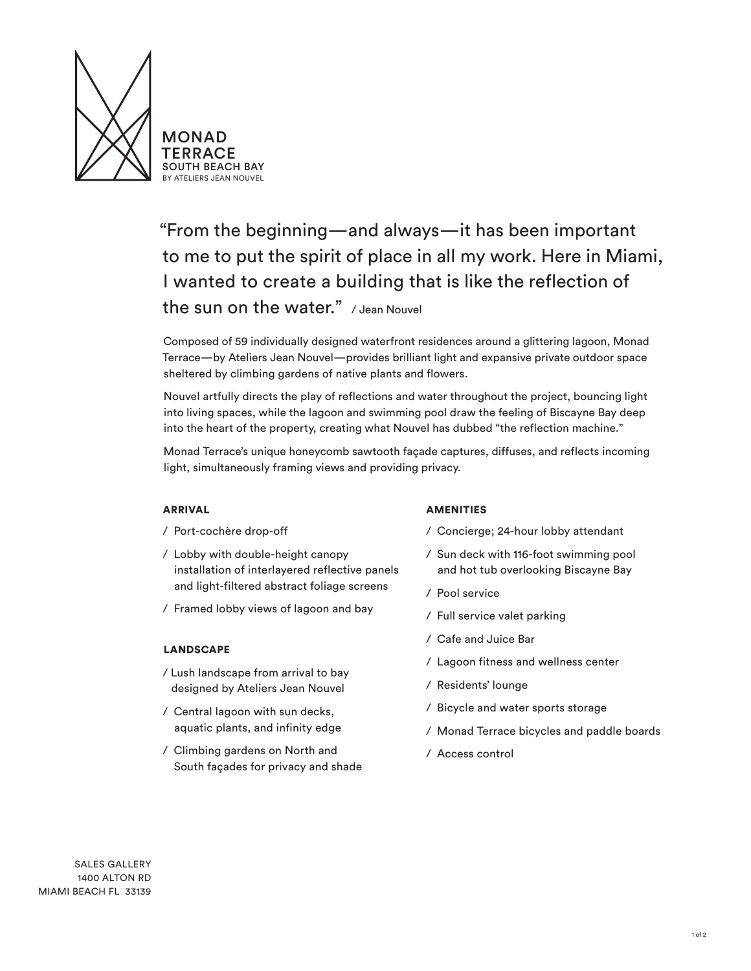

"From the beginning—and always—it has been important to me to put the spirit of place in all my work. Here in Miami, I wanted to create a building that is like the reflection of the sun on the water." / Jean Nouvel

Composed of 59 individually designed waterfront residences around a glittering lagoon, Monad Terrace—by Ateliers Jean Nouvel—provides brilliant light and expansive private outdoor space sheltered by climbing gardens of native plants and flowers.

Nouvel artfully directs the play of reflections and water throughout the project, bouncing light into living spaces, while the lagoon and swimming pool draw the feeling of Biscayne Bay deep into the heart of the property, creating what Nouvel has dubbed "the reflection machine."

Monad Terrace's unique honeycomb sawtooth façade captures, diffuses, and reflects incoming light, simultaneously framing views and providing privacy.

# ARRIVAL

- / Port-cochère drop-off
- / Lobby with double-height canopy installation of interlayered reflective panels and light-filtered abstract foliage screens
- / Framed lobby views of lagoon and bay

# LANDSCAPE

- / Lush landscape from arrival to bay designed by Ateliers Jean Nouvel
- / Central lagoon with sun decks, aquatic plants, and infinity edge
- / Climbing gardens on North and South façades for privacy and shade

#### AMENITIES

- / Concierge; 24-hour lobby attendant
- / Sun deck with 116-foot swimming pool and hot tub overlooking Biscayne Bay
- / Pool service
- / Full service valet parking
- / Cafe and Juice Bar
- / Lagoon fitness and wellness center
- / Residents' lounge
- / Bicycle and water sports storage
- / Monad Terrace bicycles and paddle boards
- / Access control

SALES GALLERY 1400 ALTON RD MIAMI BEACH FL 33139